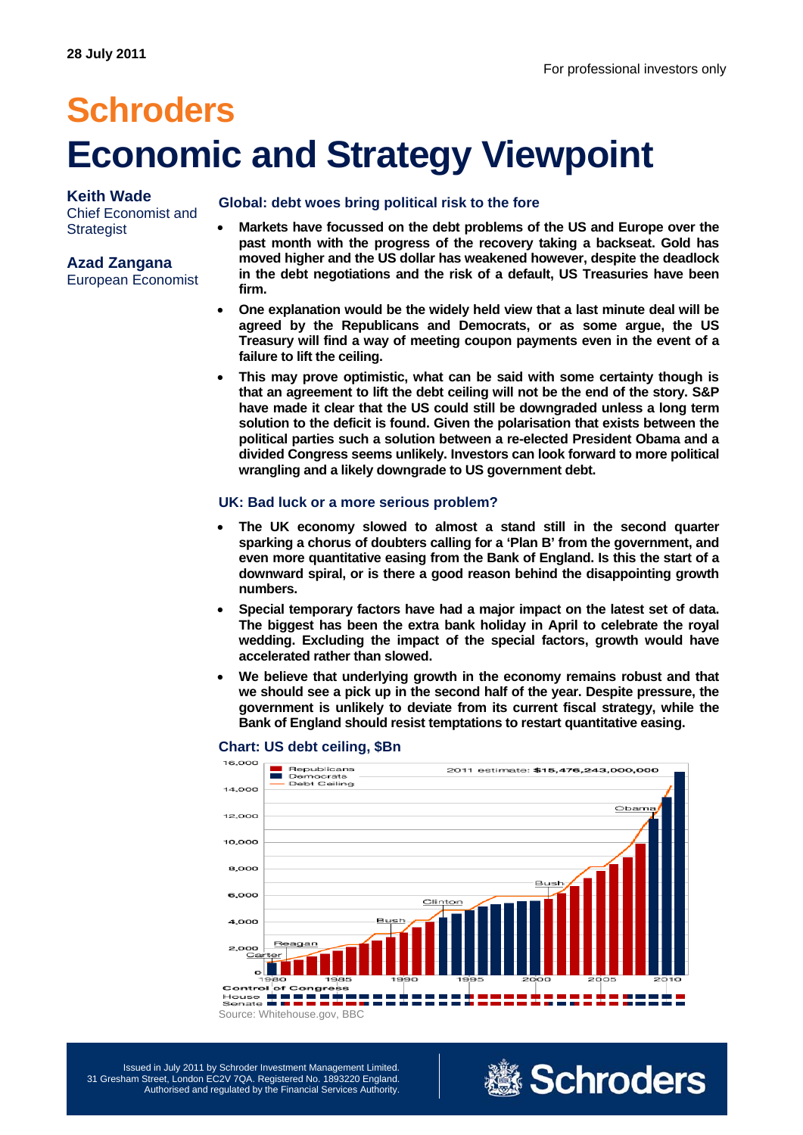# **Schroders Economic and Strategy Viewpoint**

### **Keith Wade**

Chief Economist and **Strategist** 

## **Azad Zangana**

European Economist

#### **Global: debt woes bring political risk to the fore**

- **Markets have focussed on the debt problems of the US and Europe over the past month with the progress of the recovery taking a backseat. Gold has moved higher and the US dollar has weakened however, despite the deadlock in the debt negotiations and the risk of a default, US Treasuries have been firm.**
- **One explanation would be the widely held view that a last minute deal will be agreed by the Republicans and Democrats, or as some argue, the US Treasury will find a way of meeting coupon payments even in the event of a failure to lift the ceiling.**
- **This may prove optimistic, what can be said with some certainty though is that an agreement to lift the debt ceiling will not be the end of the story. S&P have made it clear that the US could still be downgraded unless a long term solution to the deficit is found. Given the polarisation that exists between the political parties such a solution between a re-elected President Obama and a divided Congress seems unlikely. Investors can look forward to more political wrangling and a likely downgrade to US government debt.**

### **UK: Bad luck or a more serious problem?**

- **The UK economy slowed to almost a stand still in the second quarter sparking a chorus of doubters calling for a 'Plan B' from the government, and even more quantitative easing from the Bank of England. Is this the start of a downward spiral, or is there a good reason behind the disappointing growth numbers.**
- **Special temporary factors have had a major impact on the latest set of data. The biggest has been the extra bank holiday in April to celebrate the royal wedding. Excluding the impact of the special factors, growth would have accelerated rather than slowed.**
- **We believe that underlying growth in the economy remains robust and that we should see a pick up in the second half of the year. Despite pressure, the government is unlikely to deviate from its current fiscal strategy, while the Bank of England should resist temptations to restart quantitative easing.**



#### **Chart: US debt ceiling, \$Bn**

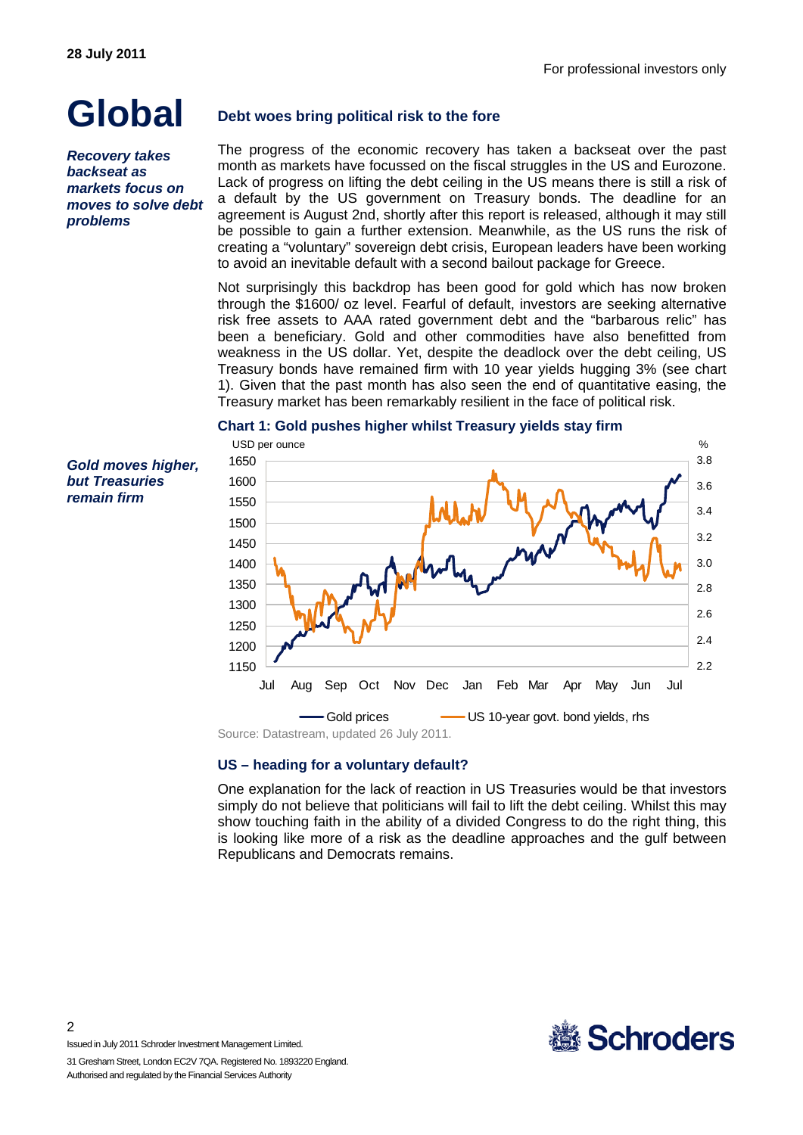## **Global**

*Recovery takes backseat as markets focus on moves to solve debt problems* 

*Gold moves higher, but Treasuries remain firm* 

## **Debt woes bring political risk to the fore**

The progress of the economic recovery has taken a backseat over the past month as markets have focussed on the fiscal struggles in the US and Eurozone. Lack of progress on lifting the debt ceiling in the US means there is still a risk of a default by the US government on Treasury bonds. The deadline for an agreement is August 2nd, shortly after this report is released, although it may still be possible to gain a further extension. Meanwhile, as the US runs the risk of creating a "voluntary" sovereign debt crisis, European leaders have been working to avoid an inevitable default with a second bailout package for Greece.

Not surprisingly this backdrop has been good for gold which has now broken through the \$1600/ oz level. Fearful of default, investors are seeking alternative risk free assets to AAA rated government debt and the "barbarous relic" has been a beneficiary. Gold and other commodities have also benefitted from weakness in the US dollar. Yet, despite the deadlock over the debt ceiling, US Treasury bonds have remained firm with 10 year yields hugging 3% (see chart 1). Given that the past month has also seen the end of quantitative easing, the Treasury market has been remarkably resilient in the face of political risk.

#### **Chart 1: Gold pushes higher whilst Treasury yields stay firm**



### **US – heading for a voluntary default?**

One explanation for the lack of reaction in US Treasuries would be that investors simply do not believe that politicians will fail to lift the debt ceiling. Whilst this may show touching faith in the ability of a divided Congress to do the right thing, this is looking like more of a risk as the deadline approaches and the gulf between Republicans and Democrats remains.

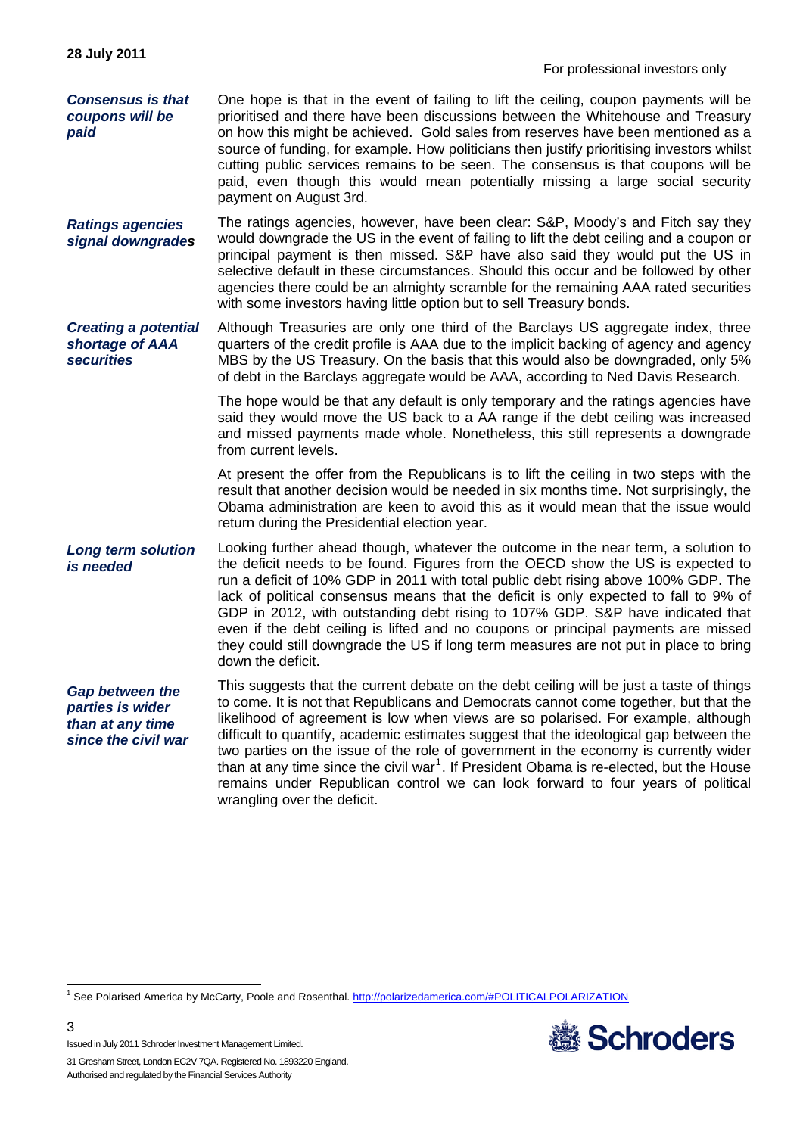*Consensus is that coupons will be paid*  One hope is that in the event of failing to lift the ceiling, coupon payments will be prioritised and there have been discussions between the Whitehouse and Treasury on how this might be achieved. Gold sales from reserves have been mentioned as a source of funding, for example. How politicians then justify prioritising investors whilst cutting public services remains to be seen. The consensus is that coupons will be paid, even though this would mean potentially missing a large social security payment on August 3rd.

*Ratings agencies signal downgrades*  The ratings agencies, however, have been clear: S&P, Moody's and Fitch say they would downgrade the US in the event of failing to lift the debt ceiling and a coupon or principal payment is then missed. S&P have also said they would put the US in selective default in these circumstances. Should this occur and be followed by other agencies there could be an almighty scramble for the remaining AAA rated securities with some investors having little option but to sell Treasury bonds.

*Creating a potential shortage of AAA securities*  Although Treasuries are only one third of the Barclays US aggregate index, three quarters of the credit profile is AAA due to the implicit backing of agency and agency MBS by the US Treasury. On the basis that this would also be downgraded, only 5% of debt in the Barclays aggregate would be AAA, according to Ned Davis Research.

> The hope would be that any default is only temporary and the ratings agencies have said they would move the US back to a AA range if the debt ceiling was increased and missed payments made whole. Nonetheless, this still represents a downgrade from current levels.

> At present the offer from the Republicans is to lift the ceiling in two steps with the result that another decision would be needed in six months time. Not surprisingly, the Obama administration are keen to avoid this as it would mean that the issue would return during the Presidential election year.

*Long term solution is needed*  Looking further ahead though, whatever the outcome in the near term, a solution to the deficit needs to be found. Figures from the OECD show the US is expected to run a deficit of 10% GDP in 2011 with total public debt rising above 100% GDP. The lack of political consensus means that the deficit is only expected to fall to 9% of GDP in 2012, with outstanding debt rising to 107% GDP. S&P have indicated that even if the debt ceiling is lifted and no coupons or principal payments are missed they could still downgrade the US if long term measures are not put in place to bring down the deficit.

*Gap between the parties is wider than at any time since the civil war*  This suggests that the current debate on the debt ceiling will be just a taste of things to come. It is not that Republicans and Democrats cannot come together, but that the likelihood of agreement is low when views are so polarised. For example, although difficult to quantify, academic estimates suggest that the ideological gap between the two parties on the issue of the role of government in the economy is currently wider than at any time since the civil war<sup>[1](#page-2-0)</sup>. If President Obama is re-elected, but the House remains under Republican control we can look forward to four years of political wrangling over the deficit.

<span id="page-2-0"></span> 1 See Polarised America by McCarty, Poole and Rosenthal. <http://polarizedamerica.com/#POLITICALPOLARIZATION>



Issued in July 2011 Schroder Investment Management Limited.

3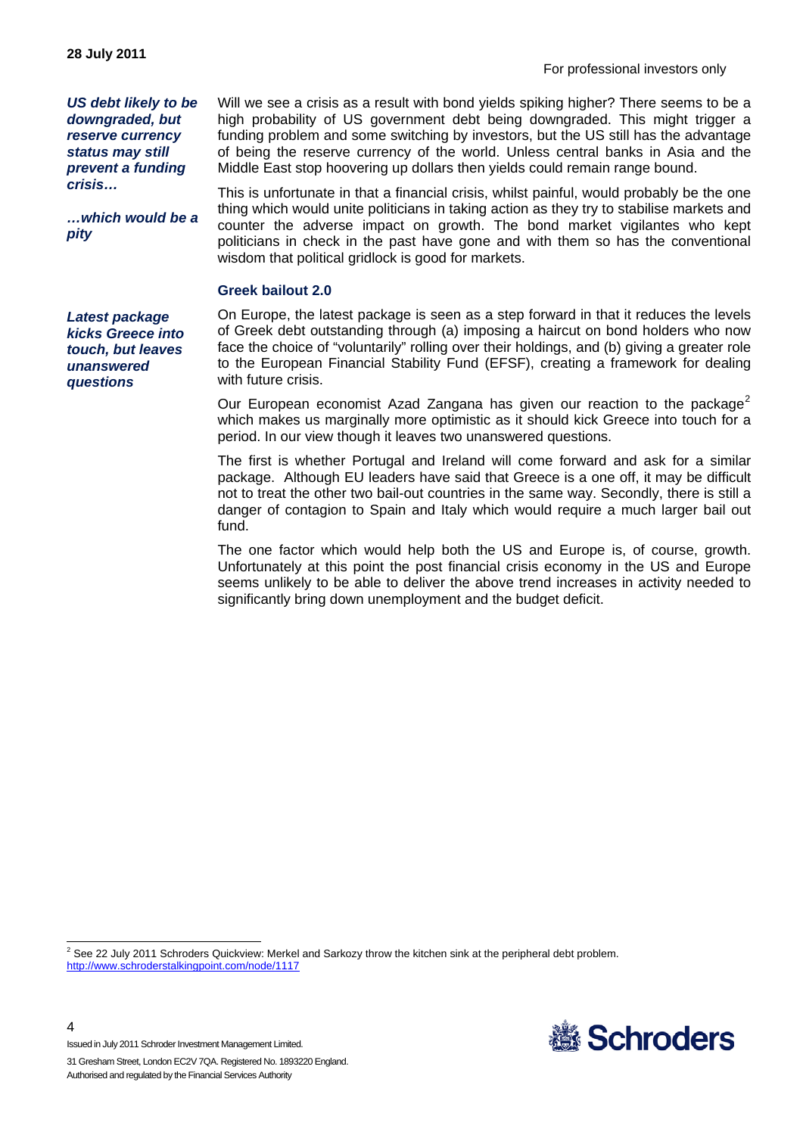For professional investors only

*US debt likely to be downgraded, but reserve currency status may still prevent a funding crisis…* 

*…which would be a pity* 

*Latest package kicks Greece into touch, but leaves unanswered questions* 

Will we see a crisis as a result with bond yields spiking higher? There seems to be a high probability of US government debt being downgraded. This might trigger a funding problem and some switching by investors, but the US still has the advantage of being the reserve currency of the world. Unless central banks in Asia and the Middle East stop hoovering up dollars then yields could remain range bound.

This is unfortunate in that a financial crisis, whilst painful, would probably be the one thing which would unite politicians in taking action as they try to stabilise markets and counter the adverse impact on growth. The bond market vigilantes who kept politicians in check in the past have gone and with them so has the conventional wisdom that political gridlock is good for markets.

#### **Greek bailout 2.0**

On Europe, the latest package is seen as a step forward in that it reduces the levels of Greek debt outstanding through (a) imposing a haircut on bond holders who now face the choice of "voluntarily" rolling over their holdings, and (b) giving a greater role to the European Financial Stability Fund (EFSF), creating a framework for dealing with future crisis.

Our European economist Azad Zangana has given our reaction to the package<sup>[2](#page-3-0)</sup> which makes us marginally more optimistic as it should kick Greece into touch for a period. In our view though it leaves two unanswered questions.

The first is whether Portugal and Ireland will come forward and ask for a similar package. Although EU leaders have said that Greece is a one off, it may be difficult not to treat the other two bail-out countries in the same way. Secondly, there is still a danger of contagion to Spain and Italy which would require a much larger bail out fund.

The one factor which would help both the US and Europe is, of course, growth. Unfortunately at this point the post financial crisis economy in the US and Europe seems unlikely to be able to deliver the above trend increases in activity needed to significantly bring down unemployment and the budget deficit.

<span id="page-3-0"></span> 2 See 22 July 2011 Schroders Quickview: Merkel and Sarkozy throw the kitchen sink at the peripheral debt problem. <http://www.schroderstalkingpoint.com/node/1117>



Issued in July 2011 Schroder Investment Management Limited.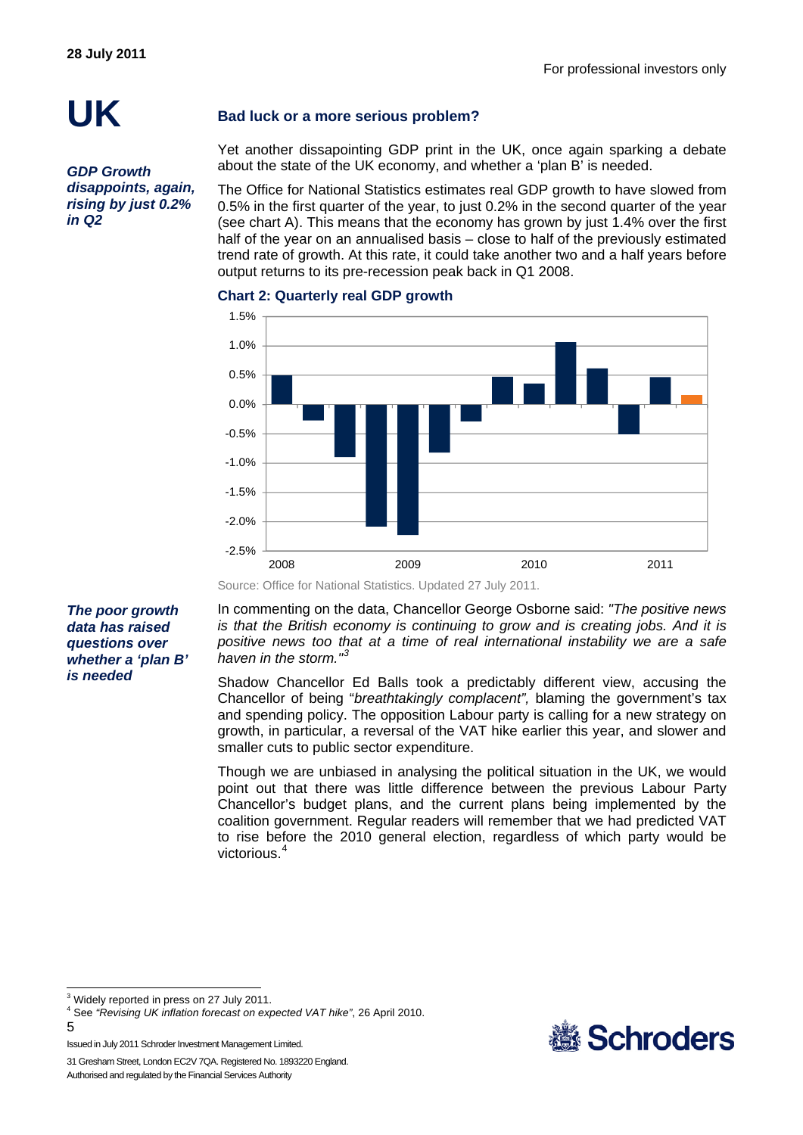# **UK**

*GDP Growth disappoints, again, rising by just 0.2% in Q2* 

### **Bad luck or a more serious problem?**

Yet another dissapointing GDP print in the UK, once again sparking a debate about the state of the UK economy, and whether a 'plan B' is needed.

The Office for National Statistics estimates real GDP growth to have slowed from 0.5% in the first quarter of the year, to just 0.2% in the second quarter of the year (see chart A). This means that the economy has grown by just 1.4% over the first half of the year on an annualised basis – close to half of the previously estimated trend rate of growth. At this rate, it could take another two and a half years before output returns to its pre-recession peak back in Q1 2008.



#### **Chart 2: Quarterly real GDP growth**

Source: Office for National Statistics. Updated 27 July 2011.

*The poor growth data has raised questions over whether a 'plan B' is needed* 

In commenting on the data, Chancellor George Osborne said: *"The positive news is that the British economy is continuing to grow and is creating jobs. And it is positive news too that at a time of real international instability we are a safe haven in the storm."[3](#page-4-0)*

Shadow Chancellor Ed Balls took a predictably different view, accusing the Chancellor of being "*breathtakingly complacent",* blaming the government's tax and spending policy. The opposition Labour party is calling for a new strategy on growth, in particular, a reversal of the VAT hike earlier this year, and slower and smaller cuts to public sector expenditure.

Though we are unbiased in analysing the political situation in the UK, we would point out that there was little difference between the previous Labour Party Chancellor's budget plans, and the current plans being implemented by the coalition government. Regular readers will remember that we had predicted VAT to rise before the 2010 general election, regardless of which party would be victorious<sup>[4](#page-4-1)</sup>

 $3$  Widely reported in press on 27 July 2011.

l



<span id="page-4-1"></span><span id="page-4-0"></span><sup>4</sup> See *"Revising UK inflation forecast on expected VAT hike"*, 26 April 2010.

<sup>5</sup> 

Issued in July 2011 Schroder Investment Management Limited.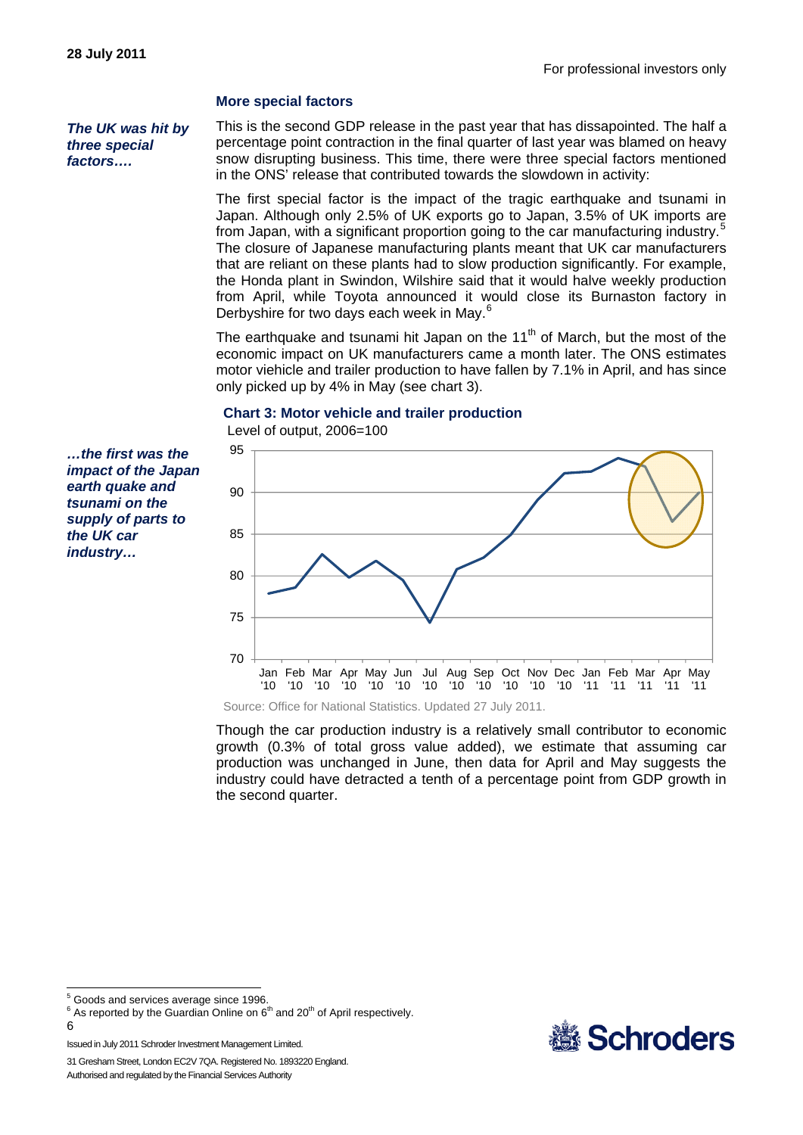#### **More special factors**

*The UK was hit by three special factors….* 

This is the second GDP release in the past year that has dissapointed. The half a percentage point contraction in the final quarter of last year was blamed on heavy snow disrupting business. This time, there were three special factors mentioned in the ONS' release that contributed towards the slowdown in activity:

The first special factor is the impact of the tragic earthquake and tsunami in Japan. Although only 2.5% of UK exports go to Japan, 3.5% of UK imports are from Japan, with a significant proportion going to the car manufacturing industry.<sup>[5](#page-5-0)</sup> The closure of Japanese manufacturing plants meant that UK car manufacturers that are reliant on these plants had to slow production significantly. For example, the Honda plant in Swindon, Wilshire said that it would halve weekly production from April, while Toyota announced it would close its Burnaston factory in Derbyshire for two days each week in May.<sup>[6](#page-5-1)</sup>

The earthquake and tsunami hit Japan on the  $11<sup>th</sup>$  of March, but the most of the economic impact on UK manufacturers came a month later. The ONS estimates motor viehicle and trailer production to have fallen by 7.1% in April, and has since only picked up by 4% in May (see chart 3).

#### **Chart 3: Motor vehicle and trailer production**

Level of output, 2006=100

*…the first was the impact of the Japan earth quake and tsunami on the supply of parts to the UK car industry…* 



Source: Office for National Statistics. Updated 27 July 2011.

Though the car production industry is a relatively small contributor to economic growth (0.3% of total gross value added), we estimate that assuming car production was unchanged in June, then data for April and May suggests the industry could have detracted a tenth of a percentage point from GDP growth in the second quarter.

<span id="page-5-0"></span><sup>5</sup> Goods and services average since 1996.

<span id="page-5-1"></span> $6$  As reported by the Guardian Online on  $6<sup>th</sup>$  and 20<sup>th</sup> of April respectively.

l



<sup>6</sup> 

Issued in July 2011 Schroder Investment Management Limited.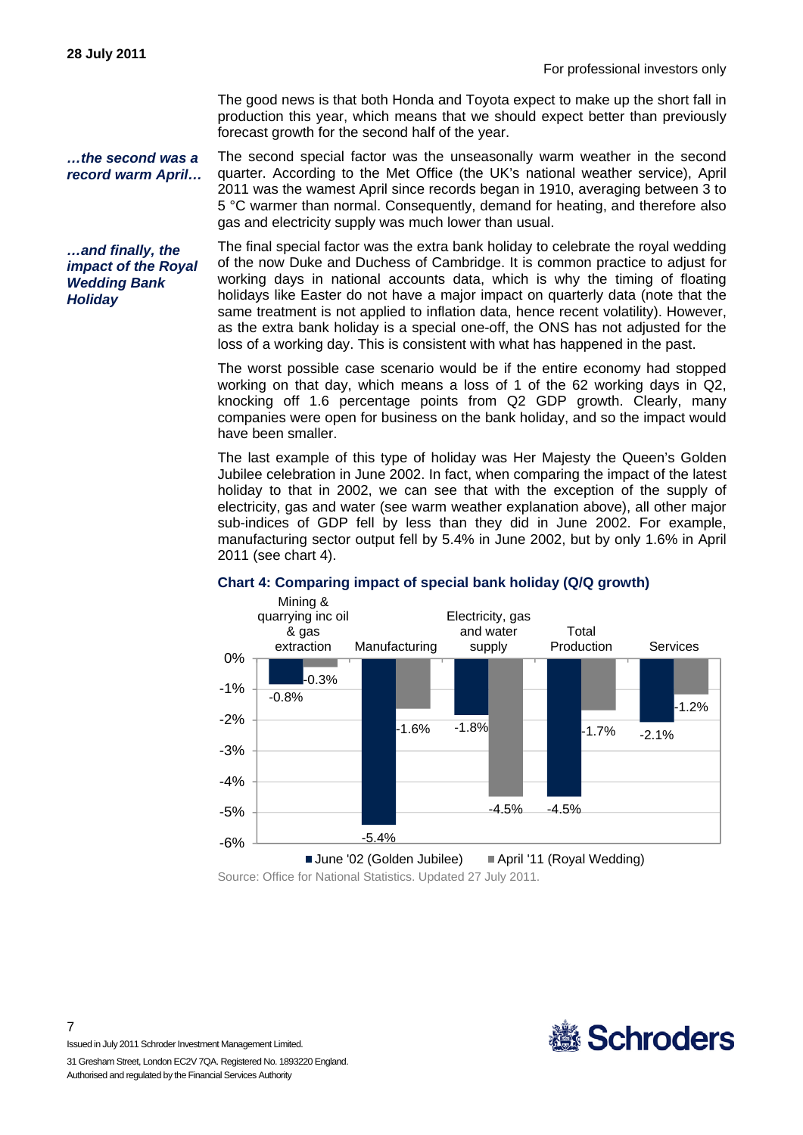The good news is that both Honda and Toyota expect to make up the short fall in production this year, which means that we should expect better than previously forecast growth for the second half of the year.

*…the second was a record warm April…*  The second special factor was the unseasonally warm weather in the second quarter. According to the Met Office (the UK's national weather service), April 2011 was the wamest April since records began in 1910, averaging between 3 to 5 °C warmer than normal. Consequently, demand for heating, and therefore also gas and electricity supply was much lower than usual.

*…and finally, the impact of the Royal Wedding Bank Holiday* 

The final special factor was the extra bank holiday to celebrate the royal wedding of the now Duke and Duchess of Cambridge. It is common practice to adjust for working days in national accounts data, which is why the timing of floating holidays like Easter do not have a major impact on quarterly data (note that the same treatment is not applied to inflation data, hence recent volatility). However, as the extra bank holiday is a special one-off, the ONS has not adjusted for the loss of a working day. This is consistent with what has happened in the past.

The worst possible case scenario would be if the entire economy had stopped working on that day, which means a loss of 1 of the 62 working days in Q2, knocking off 1.6 percentage points from Q2 GDP growth. Clearly, many companies were open for business on the bank holiday, and so the impact would have been smaller.

The last example of this type of holiday was Her Majesty the Queen's Golden Jubilee celebration in June 2002. In fact, when comparing the impact of the latest holiday to that in 2002, we can see that with the exception of the supply of electricity, gas and water (see warm weather explanation above), all other major sub-indices of GDP fell by less than they did in June 2002. For example, manufacturing sector output fell by 5.4% in June 2002, but by only 1.6% in April 2011 (see chart 4).



#### **Chart 4: Comparing impact of special bank holiday (Q/Q growth)**

Source: Office for National Statistics. Updated 27 July 2011.



Issued in July 2011 Schroder Investment Management Limited.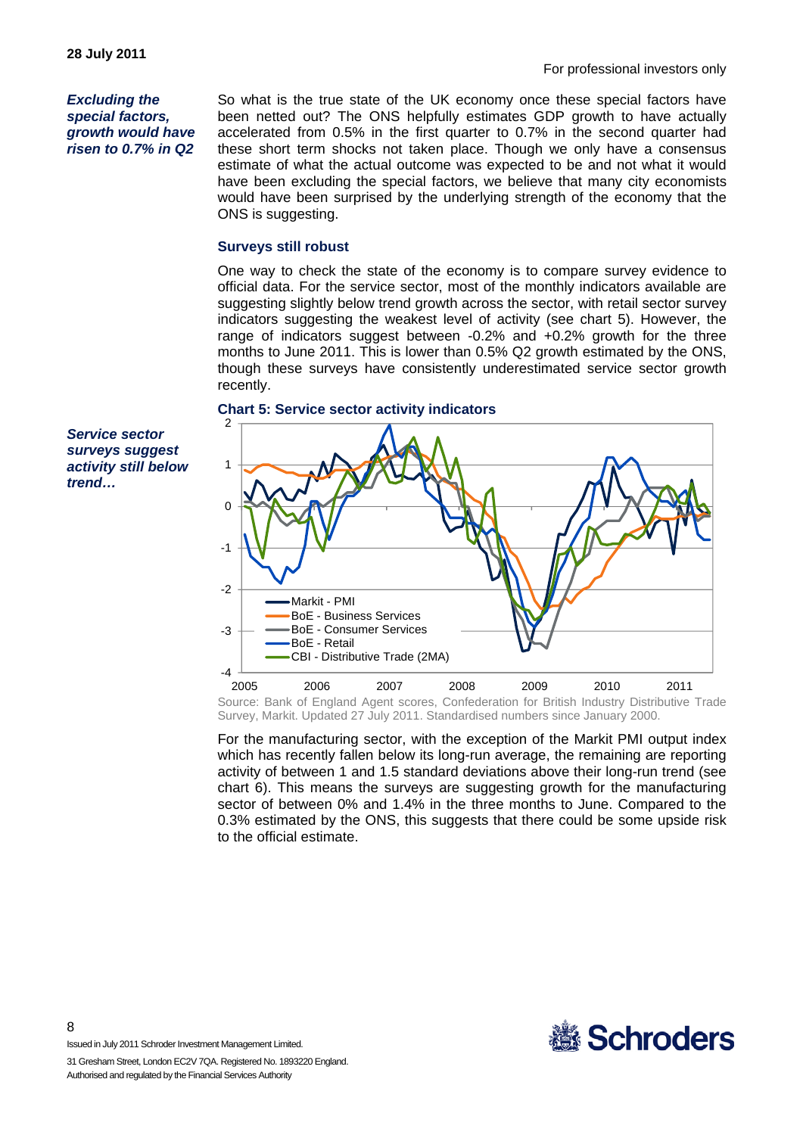For professional investors only

*Excluding the special factors, growth would have risen to 0.7% in Q2* 

*Service sector surveys suggest activity still below* 

*trend…* 

So what is the true state of the UK economy once these special factors have been netted out? The ONS helpfully estimates GDP growth to have actually accelerated from 0.5% in the first quarter to 0.7% in the second quarter had these short term shocks not taken place. Though we only have a consensus estimate of what the actual outcome was expected to be and not what it would have been excluding the special factors, we believe that many city economists would have been surprised by the underlying strength of the economy that the ONS is suggesting.

#### **Surveys still robust**

One way to check the state of the economy is to compare survey evidence to official data. For the service sector, most of the monthly indicators available are suggesting slightly below trend growth across the sector, with retail sector survey indicators suggesting the weakest level of activity (see chart 5). However, the range of indicators suggest between -0.2% and +0.2% growth for the three months to June 2011. This is lower than 0.5% Q2 growth estimated by the ONS, though these surveys have consistently underestimated service sector growth recently.

#### **Chart 5: Service sector activity indicators**

-4 -3 -2 -1 0 1  $\mathfrak{p}$ 2005 2006 2007 2008 2009 2010 2011 Markit - PMI BoE - Business Services BoE - Consumer Services BoE - Retail CBI - Distributive Trade (2MA) Source: Bank of England Agent scores, Confederation for British Industry Distributive Trade

Survey, Markit. Updated 27 July 2011. Standardised numbers since January 2000.

For the manufacturing sector, with the exception of the Markit PMI output index which has recently fallen below its long-run average, the remaining are reporting activity of between 1 and 1.5 standard deviations above their long-run trend (see chart 6). This means the surveys are suggesting growth for the manufacturing sector of between 0% and 1.4% in the three months to June. Compared to the 0.3% estimated by the ONS, this suggests that there could be some upside risk to the official estimate.



Issued in July 2011 Schroder Investment Management Limited.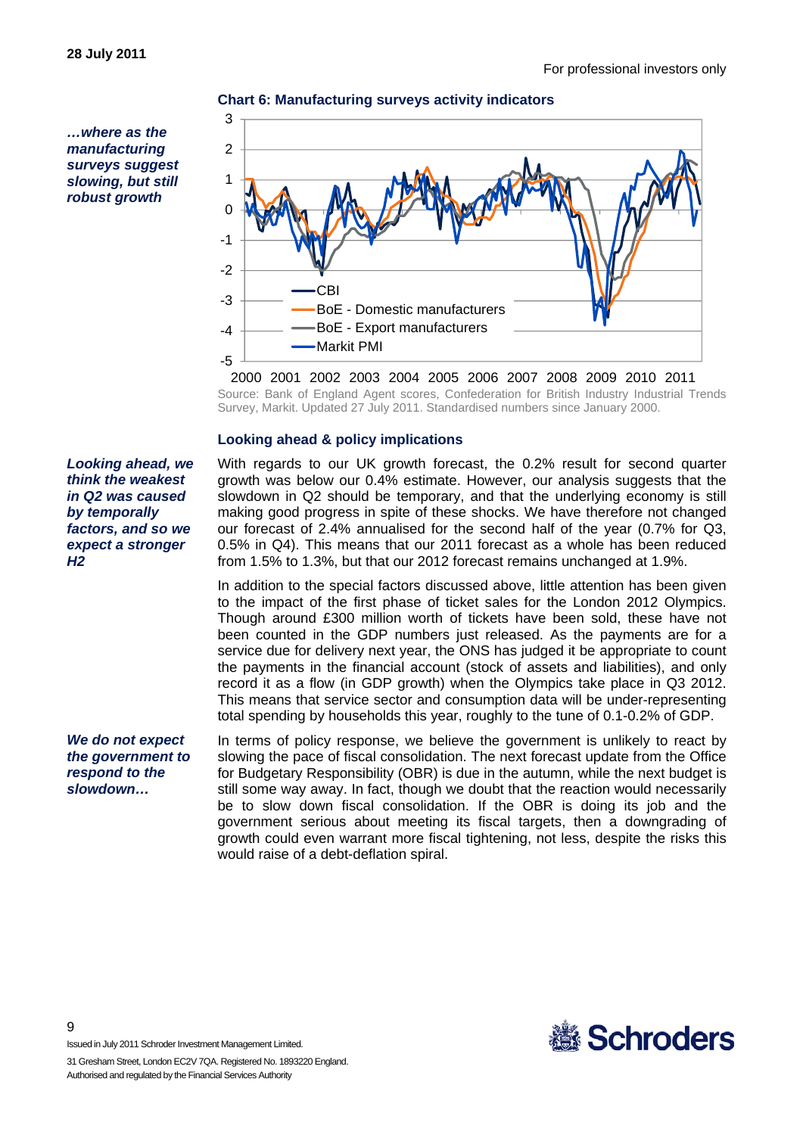*…where as the manufacturing surveys suggest slowing, but still robust growth* 



**Chart 6: Manufacturing surveys activity indicators**

2000 2001 2002 2003 2004 2005 2006 2007 2008 2009 2010 2011 Source: Bank of England Agent scores, Confederation for British Industry Industrial Trends Survey, Markit. Updated 27 July 2011. Standardised numbers since January 2000.

#### **Looking ahead & policy implications**

With regards to our UK growth forecast, the 0.2% result for second quarter growth was below our 0.4% estimate. However, our analysis suggests that the slowdown in Q2 should be temporary, and that the underlying economy is still making good progress in spite of these shocks. We have therefore not changed our forecast of 2.4% annualised for the second half of the year (0.7% for Q3, 0.5% in Q4). This means that our 2011 forecast as a whole has been reduced from 1.5% to 1.3%, but that our 2012 forecast remains unchanged at 1.9%.

In addition to the special factors discussed above, little attention has been given to the impact of the first phase of ticket sales for the London 2012 Olympics. Though around £300 million worth of tickets have been sold, these have not been counted in the GDP numbers just released. As the payments are for a service due for delivery next year, the ONS has judged it be appropriate to count the payments in the financial account (stock of assets and liabilities), and only record it as a flow (in GDP growth) when the Olympics take place in Q3 2012. This means that service sector and consumption data will be under-representing total spending by households this year, roughly to the tune of 0.1-0.2% of GDP.

In terms of policy response, we believe the government is unlikely to react by slowing the pace of fiscal consolidation. The next forecast update from the Office for Budgetary Responsibility (OBR) is due in the autumn, while the next budget is still some way away. In fact, though we doubt that the reaction would necessarily be to slow down fiscal consolidation. If the OBR is doing its job and the government serious about meeting its fiscal targets, then a downgrading of growth could even warrant more fiscal tightening, not less, despite the risks this would raise of a debt-deflation spiral.



Issued in July 2011 Schroder Investment Management Limited.

31 Gresham Street, London EC2V 7QA. Registered No. 1893220 England. Authorised and regulated by the Financial Services Authority

*Looking ahead, we think the weakest in Q2 was caused by temporally factors, and so we expect a stronger H2* 

*We do not expect the government to respond to the slowdown…*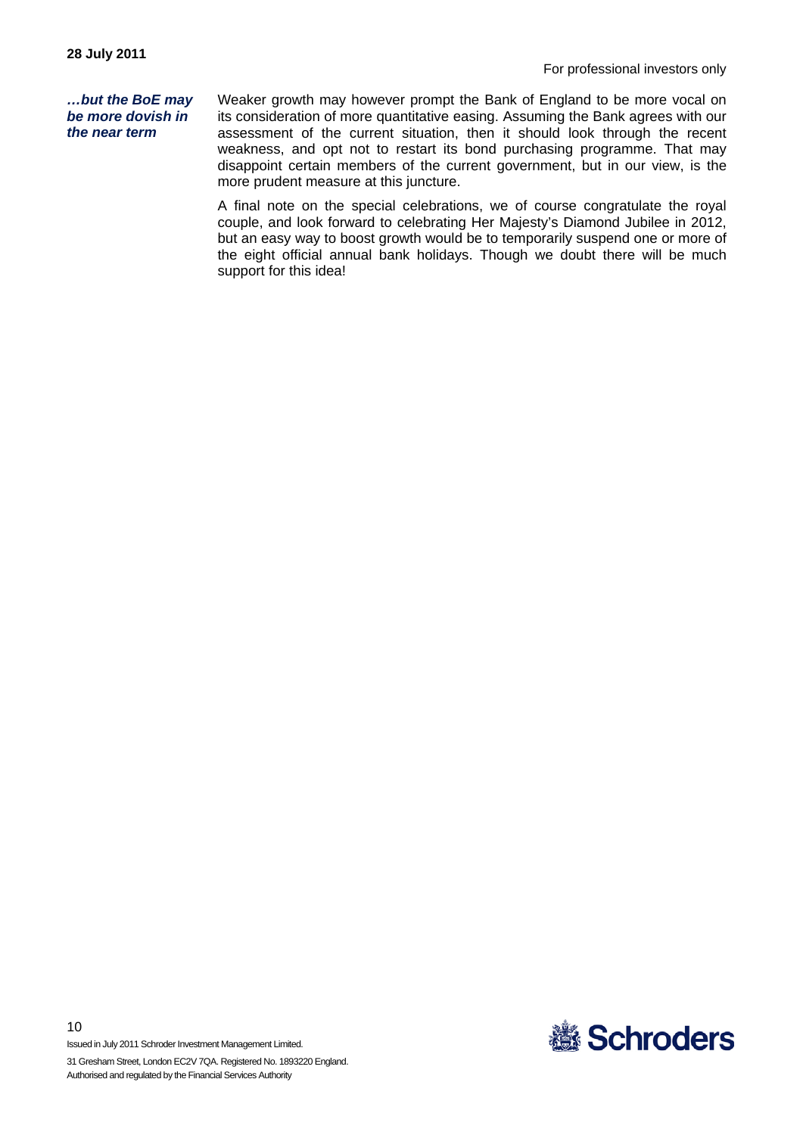*…but the BoE may be more dovish in the near term* 

Weaker growth may however prompt the Bank of England to be more vocal on its consideration of more quantitative easing. Assuming the Bank agrees with our assessment of the current situation, then it should look through the recent weakness, and opt not to restart its bond purchasing programme. That may disappoint certain members of the current government, but in our view, is the more prudent measure at this juncture.

A final note on the special celebrations, we of course congratulate the royal couple, and look forward to celebrating Her Majesty's Diamond Jubilee in 2012, but an easy way to boost growth would be to temporarily suspend one or more of the eight official annual bank holidays. Though we doubt there will be much support for this idea!



Issued in July 2011 Schroder Investment Management Limited.

10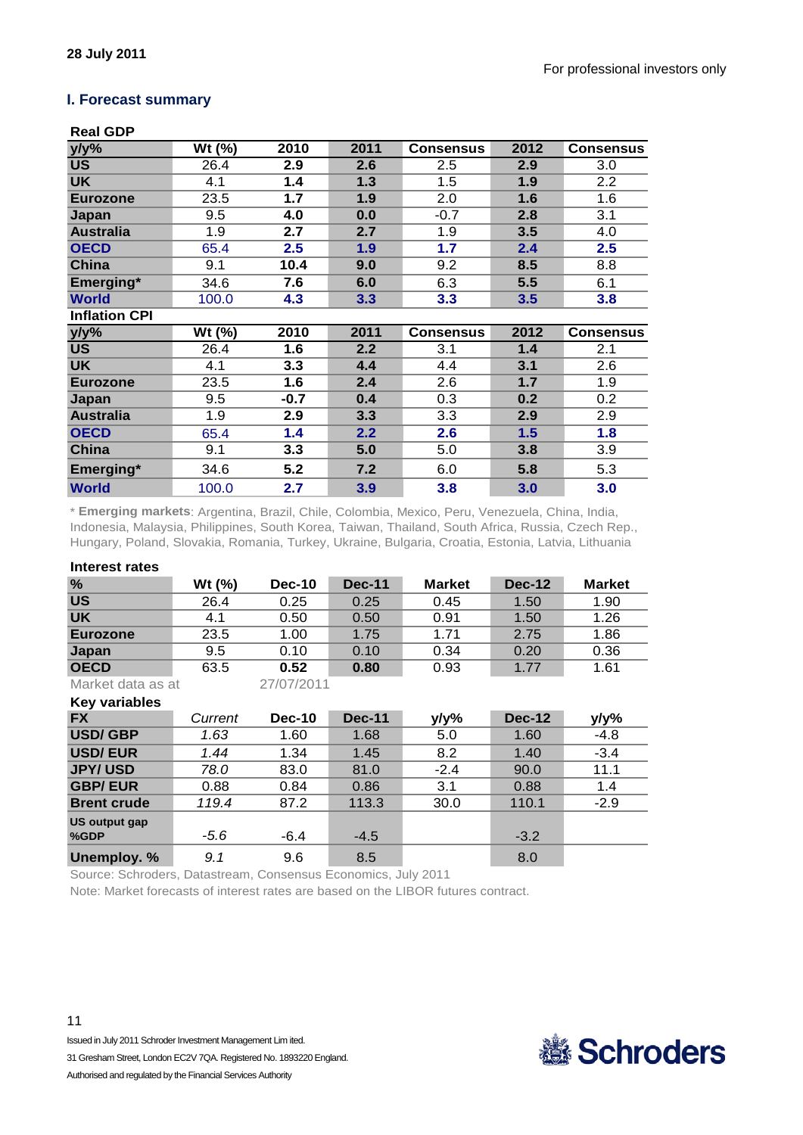#### **I. Forecast summary**

### **Real GDP**

| y/y%                 | Wt (%) | 2010   | 2011 | <b>Consensus</b> | 2012 | <b>Consensus</b> |
|----------------------|--------|--------|------|------------------|------|------------------|
| <b>US</b>            | 26.4   | 2.9    | 2.6  | $2.5^{\circ}$    | 2.9  | 3.0              |
| <b>UK</b>            | 4.1    | 1.4    | 1.3  | 1.5              | 1.9  | 2.2              |
| <b>Eurozone</b>      | 23.5   | 1.7    | 1.9  | 2.0              | 1.6  | 1.6              |
| Japan                | 9.5    | 4.0    | 0.0  | $-0.7$           | 2.8  | 3.1              |
| <b>Australia</b>     | 1.9    | 2.7    | 2.7  | 1.9              | 3.5  | 4.0              |
| <b>OECD</b>          | 65.4   | 2.5    | 1.9  | 1.7              | 2.4  | 2.5              |
| China                | 9.1    | 10.4   | 9.0  | 9.2              | 8.5  | 8.8              |
| Emerging*            | 34.6   | 7.6    | 6.0  | 6.3              | 5.5  | 6.1              |
| <b>World</b>         | 100.0  | 4.3    | 3.3  | 3.3              | 3.5  | 3.8              |
| <b>Inflation CPI</b> |        |        |      |                  |      |                  |
|                      |        |        |      |                  |      |                  |
| $y/y\%$              | Wt (%) | 2010   | 2011 | <b>Consensus</b> | 2012 | <b>Consensus</b> |
| <b>US</b>            | 26.4   | 1.6    | 2.2  | 3.1              | 1.4  | 2.1              |
| <b>UK</b>            | 4.1    | 3.3    | 4.4  | 4.4              | 3.1  | 2.6              |
| <b>Eurozone</b>      | 23.5   | 1.6    | 2.4  | 2.6              | 1.7  | 1.9              |
| Japan                | 9.5    | $-0.7$ | 0.4  | 0.3              | 0.2  | 0.2              |
| <b>Australia</b>     | 1.9    | 2.9    | 3.3  | 3.3              | 2.9  | 2.9              |
| <b>OECD</b>          | 65.4   | 1.4    | 2.2  | 2.6              | 1.5  | 1.8              |
| China                | 9.1    | 3.3    | 5.0  | 5.0              | 3.8  | 3.9              |
| Emerging*            | 34.6   | 5.2    | 7.2  | 6.0              | 5.8  | 5.3              |

\* **Emerging markets**: Argentina, Brazil, Chile, Colombia, Mexico, Peru, Venezuela, China, India, Indonesia, Malaysia, Philippines, South Korea, Taiwan, Thailand, South Africa, Russia, Czech Rep., Hungary, Poland, Slovakia, Romania, Turkey, Ukraine, Bulgaria, Croatia, Estonia, Latvia, Lithuania

#### **Interest rates**

| $\frac{9}{6}$     | Wt (%) | <b>Dec-10</b> | <b>Dec-11</b> | <b>Market</b> | <b>Dec-12</b> | <b>Market</b> |
|-------------------|--------|---------------|---------------|---------------|---------------|---------------|
| <b>US</b>         | 26.4   | 0.25          | 0.25          | 0.45          | 1.50          | 1.90          |
| <b>UK</b>         | 4.1    | 0.50          | 0.50          | 0.91          | 1.50          | 1.26          |
| Eurozone          | 23.5   | 1.00          | 1.75          | 1.71          | 2.75          | 1.86          |
| Japan             | 9.5    | 0.10          | 0.10          | 0.34          | 0.20          | 0.36          |
| <b>OECD</b>       | 63.5   | 0.52          | 0.80          | 0.93          | 1.77          | 1.61          |
| Market data as at |        | 27/07/2011    |               |               |               |               |

Market data as at **Key variables**

| <b>FX</b>          | Current | <b>Dec-10</b> | <b>Dec-11</b> | y/y%   | <b>Dec-12</b> | y/y%   |
|--------------------|---------|---------------|---------------|--------|---------------|--------|
| <b>USD/GBP</b>     | 1.63    | 1.60          | 1.68          | 5.0    | 1.60          | $-4.8$ |
| <b>USD/EUR</b>     | 1.44    | 1.34          | 1.45          | 8.2    | 1.40          | $-3.4$ |
| <b>JPY/USD</b>     | 78.0    | 83.0          | 81.0          | $-2.4$ | 90.0          | 11.1   |
| <b>GBP/EUR</b>     | 0.88    | 0.84          | 0.86          | 3.1    | 0.88          | 1.4    |
| <b>Brent crude</b> | 119.4   | 87.2          | 113.3         | 30.0   | 110.1         | $-2.9$ |
| US output gap      |         |               |               |        |               |        |
| %GDP               | -5.6    | $-6.4$        | $-4.5$        |        | $-3.2$        |        |
| Unemploy. %        | 9.1     | 9.6           | 8.5           |        | 8.0           |        |

Source: Schroders, Datastream, Consensus Economics, July 2011

Note: Market forecasts of interest rates are based on the LIBOR futures contract.